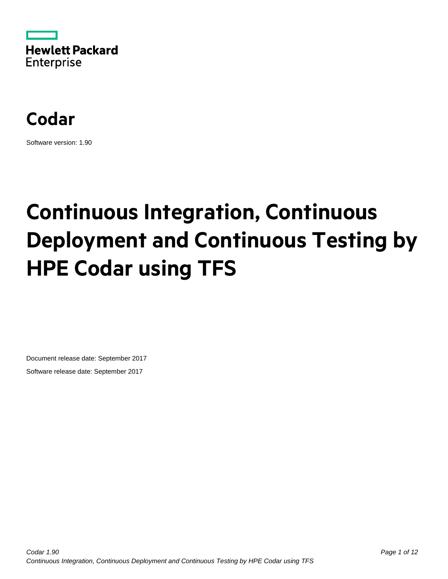



Software version: 1.90

# **Continuous Integration, Continuous Deployment and Continuous Testing by HPE Codar using TFS**

Document release date: September 2017 Software release date: September 2017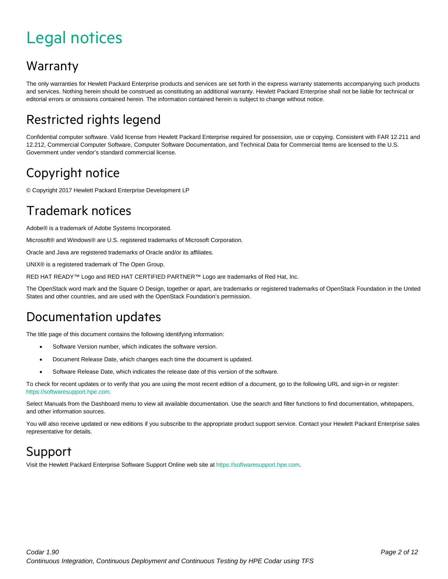## <span id="page-1-0"></span>Legal notices

#### Warranty

The only warranties for Hewlett Packard Enterprise products and services are set forth in the express warranty statements accompanying such products and services. Nothing herein should be construed as constituting an additional warranty. Hewlett Packard Enterprise shall not be liable for technical or editorial errors or omissions contained herein. The information contained herein is subject to change without notice.

### Restricted rights legend

Confidential computer software. Valid license from Hewlett Packard Enterprise required for possession, use or copying. Consistent with FAR 12.211 and 12.212, Commercial Computer Software, Computer Software Documentation, and Technical Data for Commercial Items are licensed to the U.S. Government under vendor's standard commercial license.

### Copyright notice

© Copyright 2017 Hewlett Packard Enterprise Development LP

### Trademark notices

Adobe® is a trademark of Adobe Systems Incorporated.

Microsoft® and Windows® are U.S. registered trademarks of Microsoft Corporation.

Oracle and Java are registered trademarks of Oracle and/or its affiliates.

UNIX® is a registered trademark of The Open Group.

RED HAT READY™ Logo and RED HAT CERTIFIED PARTNER™ Logo are trademarks of Red Hat, Inc.

The OpenStack word mark and the Square O Design, together or apart, are trademarks or registered trademarks of OpenStack Foundation in the United States and other countries, and are used with the OpenStack Foundation's permission.

### Documentation updates

The title page of this document contains the following identifying information:

- Software Version number, which indicates the software version.
- Document Release Date, which changes each time the document is updated.
- Software Release Date, which indicates the release date of this version of the software.

To check for recent updates or to verify that you are using the most recent edition of a document, go to the following URL and sign-in or register: [https://softwaresupport.hpe.com.](https://softwaresupport.hpe.com./)

Select Manuals from the Dashboard menu to view all available documentation. Use the search and filter functions to find documentation, whitepapers, and other information sources.

You will also receive updated or new editions if you subscribe to the appropriate product support service. Contact your Hewlett Packard Enterprise sales representative for details.

#### Support

Visit the Hewlett Packard Enterprise Software Support Online web site a[t https://softwaresupport.hpe.com.](https://softwaresupport.hpe.com/)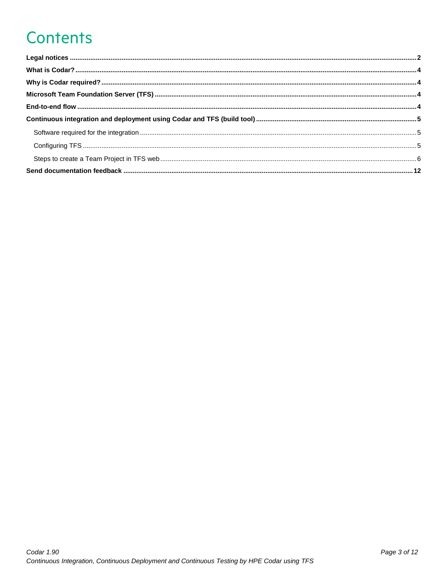## **Contents**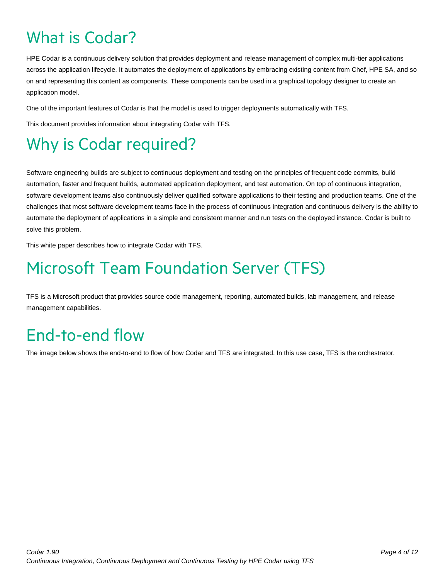## <span id="page-3-0"></span>What is Codar?

HPE Codar is a continuous delivery solution that provides deployment and release management of complex multi-tier applications across the application lifecycle. It automates the deployment of applications by embracing existing content from Chef, HPE SA, and so on and representing this content as components. These components can be used in a graphical topology designer to create an application model.

One of the important features of Codar is that the model is used to trigger deployments automatically with TFS.

This document provides information about integrating Codar with TFS.

## <span id="page-3-1"></span>Why is Codar required?

Software engineering builds are subject to continuous deployment and testing on the principles of frequent code commits, build automation, faster and frequent builds, automated application deployment, and test automation. On top of continuous integration, software development teams also continuously deliver qualified software applications to their testing and production teams. One of the challenges that most software development teams face in the process of continuous integration and continuous delivery is the ability to automate the deployment of applications in a simple and consistent manner and run tests on the deployed instance. Codar is built to solve this problem.

This white paper describes how to integrate Codar with TFS.

## <span id="page-3-2"></span>Microsoft Team Foundation Server (TFS)

TFS is a Microsoft product that provides source code management, reporting, automated builds, lab management, and release management capabilities.

## <span id="page-3-3"></span>End-to-end flow

The image below shows the end-to-end to flow of how Codar and TFS are integrated. In this use case, TFS is the orchestrator.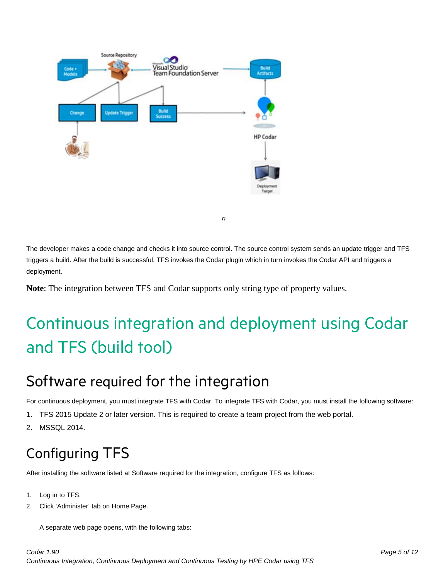

The developer makes a code change and checks it into source control. The source control system sends an update trigger and TFS triggers a build. After the build is successful, TFS invokes the Codar plugin which in turn invokes the Codar API and triggers a deployment.

*n*

**Note**: The integration between TFS and Codar supports only string type of property values.

## <span id="page-4-0"></span>Continuous integration and deployment using Codar and TFS (build tool)

### <span id="page-4-1"></span>Software required for the integration

For continuous deployment, you must integrate TFS with Codar. To integrate TFS with Codar, you must install the following software:

- 1. TFS 2015 Update 2 or later version. This is required to create a team project from the web portal.
- 2. MSSQL 2014.

## <span id="page-4-2"></span>Configuring TFS

After installing the software listed at [Software required for the integration,](#page-4-1) configure TFS as follows:

- 1. Log in to TFS.
- 2. Click 'Administer' tab on Home Page.

A separate web page opens, with the following tabs: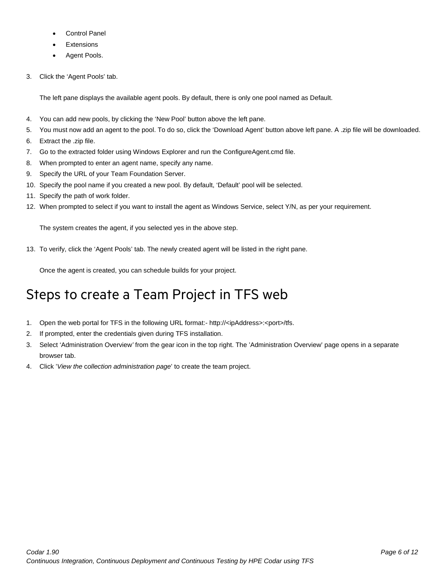- Control Panel
- **Extensions**
- Agent Pools.
- 3. Click the 'Agent Pools' tab.

The left pane displays the available agent pools. By default, there is only one pool named as Default.

- 4. You can add new pools, by clicking the 'New Pool' button above the left pane.
- 5. You must now add an agent to the pool. To do so, click the 'Download Agent' button above left pane. A .zip file will be downloaded.
- 6. Extract the .zip file.
- 7. Go to the extracted folder using Windows Explorer and run the ConfigureAgent.cmd file.
- 8. When prompted to enter an agent name, specify any name.
- 9. Specify the URL of your Team Foundation Server.
- 10. Specify the pool name if you created a new pool. By default, 'Default' pool will be selected.
- 11. Specify the path of work folder.
- 12. When prompted to select if you want to install the agent as Windows Service, select Y/N, as per your requirement.

The system creates the agent, if you selected yes in the above step.

13. To verify, click the 'Agent Pools' tab. The newly created agent will be listed in the right pane.

Once the agent is created, you can schedule builds for your project.

### <span id="page-5-0"></span>Steps to create a Team Project in TFS web

- 1. Open the web portal for TFS in the following URL format:- http://<ipAddress>:<port>/tfs.
- 2. If prompted, enter the credentials given during TFS installation.
- 3. Select 'Administration Overview*'* from the gear icon in the top right. The 'Administration Overview' page opens in a separate browser tab.
- 4. Click '*View the* c*ollection administration page*' to create the team project.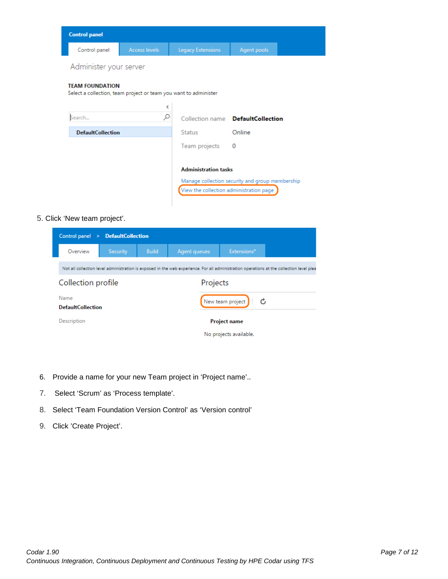| <b>Control panel</b>                                                                       |                      |                                                                                                                           |                    |  |
|--------------------------------------------------------------------------------------------|----------------------|---------------------------------------------------------------------------------------------------------------------------|--------------------|--|
| Control panel                                                                              | <b>Access levels</b> | <b>Legacy Extensions</b>                                                                                                  | <b>Agent pools</b> |  |
| Administer your server                                                                     |                      |                                                                                                                           |                    |  |
| <b>TEAM FOUNDATION</b><br>Select a collection, team project or team you want to administer |                      |                                                                                                                           |                    |  |
| Search                                                                                     | ≺<br>α               | Collection name <b>DefaultCollection</b>                                                                                  |                    |  |
| <b>DefaultCollection</b>                                                                   |                      | <b>Status</b>                                                                                                             | Online             |  |
|                                                                                            |                      | Team projects                                                                                                             | $\bf{0}$           |  |
|                                                                                            |                      | <b>Administration tasks</b><br>Manage collection security and group membership<br>View the collection administration page |                    |  |

#### 5. Click 'New team project'.

| Control panel $\rightarrow$     | <b>DefaultCollection</b> |              |              |                        |                                                                                                                                          |
|---------------------------------|--------------------------|--------------|--------------|------------------------|------------------------------------------------------------------------------------------------------------------------------------------|
| Overview                        | Security                 | <b>Build</b> | Agent queues | Extensions*            |                                                                                                                                          |
|                                 |                          |              |              |                        | Not all collection level administration is exposed in the web experience. For all administration operations at the collection level plea |
| Collection profile<br>Projects  |                          |              |              |                        |                                                                                                                                          |
| Name<br>New team project<br>− C |                          |              |              |                        |                                                                                                                                          |
| <b>DefaultCollection</b>        |                          |              |              |                        |                                                                                                                                          |
| Description                     |                          |              |              | <b>Project name</b>    |                                                                                                                                          |
|                                 |                          |              |              | No projects available. |                                                                                                                                          |

- 6. Provide a name for your new Team project in 'Project name'..
- 7. Select 'Scrum' as 'Process template'.
- 8. Select 'Team Foundation Version Control' as 'Version control'
- 9. Click 'Create Project'.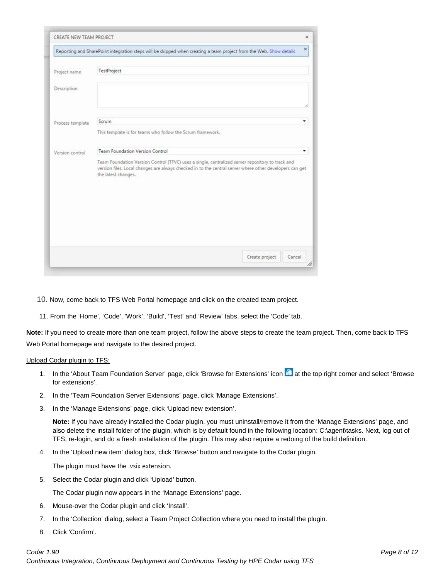| CREATE NEW TEAM PROJECT |                                                                                                                                                                                                             | $\mathbf x$ |
|-------------------------|-------------------------------------------------------------------------------------------------------------------------------------------------------------------------------------------------------------|-------------|
|                         | Reporting and SharePoint integration steps will be skipped when creating a team project from the Web. Show details                                                                                          | ×           |
| Project name            | TestProject                                                                                                                                                                                                 |             |
| Description             |                                                                                                                                                                                                             |             |
|                         |                                                                                                                                                                                                             |             |
| Process template        | Scrum<br>This template is for teams who follow the Scrum framework.                                                                                                                                         | ۰           |
| Version control         | Team Foundation Version Control                                                                                                                                                                             | ٠           |
|                         | Team Foundation Version Control (TFVC) uses a single, centralized server repository to track and<br>version files. Local changes are always checked in to the central server where other developers can get |             |
|                         | the latest changes.                                                                                                                                                                                         |             |
|                         |                                                                                                                                                                                                             |             |
|                         |                                                                                                                                                                                                             |             |
|                         |                                                                                                                                                                                                             |             |
|                         |                                                                                                                                                                                                             |             |

10. Now, come back to TFS Web Portal homepage and click on the created team project.

11. From the 'Home', 'Code', 'Work', 'Build', 'Test' and 'Review' tabs, select the 'Code*'* tab.

**Note:** If you need to create more than one team project, follow the above steps to create the team project. Then, come back to TFS Web Portal homepage and navigate to the desired project.

#### Upload Codar plugin to TFS:

- 1. In the 'About Team Foundation Server' page, click 'Browse for Extensions' icon **at at the top right corner and select 'Browse** for extensions'.
- 2. In the 'Team Foundation Server Extensions' page, click 'Manage Extensions'.
- 3. In the 'Manage Extensions' page, click 'Upload new extension'.

**Note:** If you have already installed the Codar plugin, you must uninstall/remove it from the 'Manage Extensions' page, and also delete the install folder of the plugin, which is by default found in the following location: C:\agent\tasks. Next, log out of TFS, re-login, and do a fresh installation of the plugin. This may also require a redoing of the build definition.

4. In the 'Upload new item' dialog box, click 'Browse' button and navigate to the Codar plugin.

The plugin must have the .vsix extension.

5. Select the Codar plugin and click 'Upload' button.

The Codar plugin now appears in the 'Manage Extensions' page.

- 6. Mouse-over the Codar plugin and click 'Install'.
- 7. In the 'Collection' dialog, select a Team Project Collection where you need to install the plugin.
- 8. Click 'Confirm'.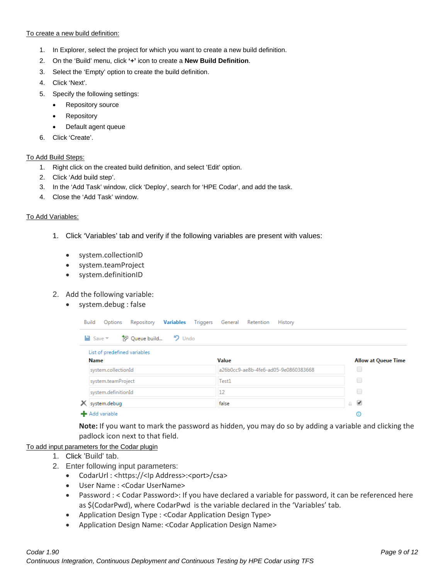To create a new build definition:

- 1. In Explorer, select the project for which you want to create a new build definition.
- 2. On the 'Build' menu, click **'+'** icon to create a **New Build Definition**.
- 3. Select the 'Empty' option to create the build definition.
- 4. Click 'Next'.
- 5. Specify the following settings:
	- Repository source
	- **Repository**
	- Default agent queue
- 6. Click 'Create'.

#### To Add Build Steps:

- 1. Right click on the created build definition, and select 'Edit' option.
- 2. Click 'Add build step'.
- 3. In the 'Add Task' window, click 'Deploy', search for 'HPE Codar', and add the task.
- 4. Close the 'Add Task' window.

#### To Add Variables:

- 1. Click 'Variables' tab and verify if the following variables are present with values:
	- system.collectionID
	- system.teamProject
	- system.definitionID

#### 2. Add the following variable:

• system.debug : false

| Repository Variables Triggers General Retention<br>Build<br>Options | History                              |                            |
|---------------------------------------------------------------------|--------------------------------------|----------------------------|
| 「卸 Queue build ■ 9 Undo<br>$\Box$ Save $\overline{\phantom{a}}$     |                                      |                            |
| List of predefined variables<br><b>Name</b>                         | Value                                | <b>Allow at Queue Time</b> |
| system.collectionId                                                 | a26b0cc9-ae8b-4fe6-ad05-9e0860383668 | u                          |
| system.teamProject                                                  | Test1                                | O                          |
| system.definitionId                                                 | 12                                   | u                          |
| X system.debug                                                      | false                                | ✔<br>û.                    |
| <b>-</b> Add variable                                               |                                      | Θ                          |

**Note:** If you want to mark the password as hidden, you may do so by adding a variable and clicking the padlock icon next to that field.

#### To add input parameters for the Codar plugin

- 1. Click 'Build' tab.
- 2. Enter following input parameters:
	- CodarUrl : <https://<lp Address>:<port>/csa>
	- User Name : <Codar UserName>
	- Password : < Codar Password>: If you have declared a variable for password, it can be referenced here as \$(CodarPwd), where CodarPwd is the variable declared in the 'Variables' tab.
	- Application Design Type : <Codar Application Design Type>
	- Application Design Name: <Codar Application Design Name>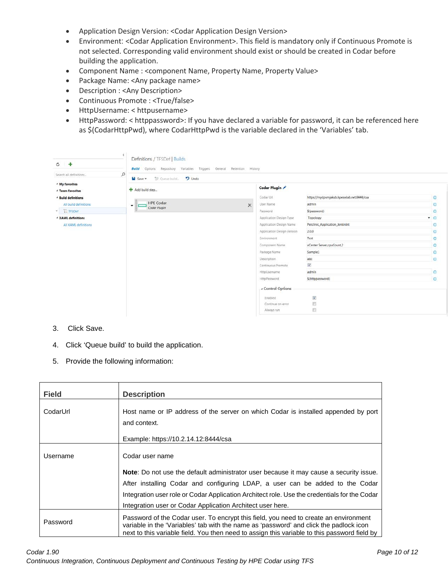- Application Design Version: <Codar Application Design Version>
- Environment: <Codar Application Environment>. This field is mandatory only if Continuous Promote is not selected. Corresponding valid environment should exist or should be created in Codar before building the application.
- Component Name : <component Name, Property Name, Property Value>
- Package Name: <Any package name>
- Description : <Any Description>
- Continuous Promote : <True/false>
- HttpUsername: < httpusername>
- HttpPassword: < httppassword>: If you have declared a variable for password, it can be referenced here as \$(CodarHttpPwd), where CodarHttpPwd is the variable declared in the 'Variables' tab.

| $C +$                                                                                      |                | Definitions / TFSDef   Builds<br><b>Build</b> Options Repository Variables Triggers General Retention History |                                           |                                 |                |
|--------------------------------------------------------------------------------------------|----------------|---------------------------------------------------------------------------------------------------------------|-------------------------------------------|---------------------------------|----------------|
| Search all definitions                                                                     | $\varphi$      | SF Queue build<br>$\n  Undo\n$<br>la Save *                                                                   |                                           |                                 |                |
| <sup>⊿</sup> My favorites<br><sup>4</sup> Team favorites<br><sup>4</sup> Build definitions | Add build step | Codar Plugin<br>Codar Url                                                                                     | https://mydpvmjakub.hpeswlab.net:8444/csa | $\circ$                         |                |
| All build definitions                                                                      |                | <b>HPE Codar</b><br>x<br>۰                                                                                    | User Name                                 | admin                           | $\circ$        |
| $\overline{1}$ TFSDef                                                                      |                | Codar Plugin                                                                                                  | Password                                  | \$(password)                    | $\circ$        |
| <b>4 XAML definitions</b>                                                                  |                |                                                                                                               | Application Design Type                   | Topology                        | $\blacksquare$ |
| All XAML definitions                                                                       |                |                                                                                                               | Application Design Name                   | Petclinic_Application_JenkinInt | $\circ$        |
|                                                                                            |                |                                                                                                               | Application Design Version                | 2.0.0                           | $\odot$        |
|                                                                                            |                |                                                                                                               | Environment                               | Test                            | ٥              |
|                                                                                            |                |                                                                                                               | Component Name                            | vCenter Server,cpuCount,2       | ۰              |
|                                                                                            |                |                                                                                                               | Package Name                              | Samplel                         | Ø              |
|                                                                                            |                |                                                                                                               | Description                               | abc                             | $\circ$        |
|                                                                                            |                |                                                                                                               | Continuous Promote                        | $\checkmark$                    |                |
|                                                                                            |                |                                                                                                               | HttpUsemame                               | admin                           | $\circ$        |
|                                                                                            |                |                                                                                                               | HittpPassword                             | \$(httppassword)                | $\circ$        |
|                                                                                            |                |                                                                                                               | « Control Options                         |                                 |                |
|                                                                                            |                |                                                                                                               | Enabled                                   | $\checkmark$                    |                |
|                                                                                            |                |                                                                                                               | Continue on error                         | 胍                               |                |
|                                                                                            |                |                                                                                                               | Always run.                               | E                               |                |

- 3. Click Save.
- 4. Click 'Queue build' to build the application.
- 5. Provide the following information:

| <b>Field</b> | <b>Description</b>                                                                                                                                                                                                                                                             |
|--------------|--------------------------------------------------------------------------------------------------------------------------------------------------------------------------------------------------------------------------------------------------------------------------------|
| CodarUrl     | Host name or IP address of the server on which Codar is installed appended by port<br>and context.                                                                                                                                                                             |
|              | Example: https://10.2.14.12:8444/csa                                                                                                                                                                                                                                           |
| Username     | Codar user name                                                                                                                                                                                                                                                                |
|              | <b>Note:</b> Do not use the default administrator user because it may cause a security issue.                                                                                                                                                                                  |
|              | After installing Codar and configuring LDAP, a user can be added to the Codar                                                                                                                                                                                                  |
|              | Integration user role or Codar Application Architect role. Use the credentials for the Codar<br>Integration user or Codar Application Architect user here.                                                                                                                     |
| Password     | Password of the Codar user. To encrypt this field, you need to create an environment<br>variable in the 'Variables' tab with the name as 'password' and click the padlock icon<br>next to this variable field. You then need to assign this variable to this password field by |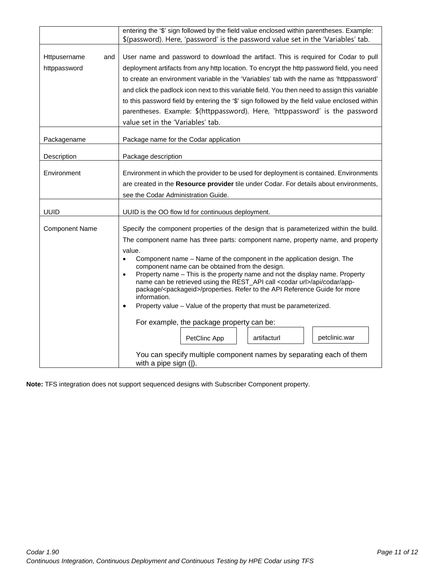|                                     | entering the '\$' sign followed by the field value enclosed within parentheses. Example:                                                                                                                                                                                                                                                                                                                                                                                                                                                                                                                                                                                                                                                                                  |  |  |
|-------------------------------------|---------------------------------------------------------------------------------------------------------------------------------------------------------------------------------------------------------------------------------------------------------------------------------------------------------------------------------------------------------------------------------------------------------------------------------------------------------------------------------------------------------------------------------------------------------------------------------------------------------------------------------------------------------------------------------------------------------------------------------------------------------------------------|--|--|
|                                     | \$(password). Here, 'password' is the password value set in the 'Variables' tab.                                                                                                                                                                                                                                                                                                                                                                                                                                                                                                                                                                                                                                                                                          |  |  |
| Httpusername<br>and<br>httppassword | User name and password to download the artifact. This is required for Codar to pull<br>deployment artifacts from any http location. To encrypt the http password field, you need<br>to create an environment variable in the 'Variables' tab with the name as 'httppassword'<br>and click the padlock icon next to this variable field. You then need to assign this variable<br>to this password field by entering the '\$' sign followed by the field value enclosed within<br>parentheses. Example: \$(httppassword). Here, 'httppassword' is the password                                                                                                                                                                                                             |  |  |
|                                     | value set in the 'Variables' tab.                                                                                                                                                                                                                                                                                                                                                                                                                                                                                                                                                                                                                                                                                                                                         |  |  |
| Packagename                         | Package name for the Codar application                                                                                                                                                                                                                                                                                                                                                                                                                                                                                                                                                                                                                                                                                                                                    |  |  |
| Description                         | Package description                                                                                                                                                                                                                                                                                                                                                                                                                                                                                                                                                                                                                                                                                                                                                       |  |  |
| Environment                         | Environment in which the provider to be used for deployment is contained. Environments<br>are created in the Resource provider tile under Codar. For details about environments,<br>see the Codar Administration Guide.                                                                                                                                                                                                                                                                                                                                                                                                                                                                                                                                                   |  |  |
|                                     |                                                                                                                                                                                                                                                                                                                                                                                                                                                                                                                                                                                                                                                                                                                                                                           |  |  |
| <b>UUID</b>                         | UUID is the OO flow Id for continuous deployment.                                                                                                                                                                                                                                                                                                                                                                                                                                                                                                                                                                                                                                                                                                                         |  |  |
| <b>Component Name</b>               | Specify the component properties of the design that is parameterized within the build.<br>The component name has three parts: component name, property name, and property<br>value.<br>Component name - Name of the component in the application design. The<br>$\bullet$<br>component name can be obtained from the design.<br>Property name - This is the property name and not the display name. Property<br>$\bullet$<br>name can be retrieved using the REST_API call <codar url="">/api/codar/app-<br/>package/<packageid>/properties. Refer to the API Reference Guide for more<br/>information.<br/>Property value - Value of the property that must be parameterized.<br/><math>\bullet</math><br/>For example, the package property can be:</packageid></codar> |  |  |
|                                     | petclinic.war<br>artifacturl<br>PetClinc App                                                                                                                                                                                                                                                                                                                                                                                                                                                                                                                                                                                                                                                                                                                              |  |  |
|                                     | You can specify multiple component names by separating each of them<br>with a pipe sign ( ).                                                                                                                                                                                                                                                                                                                                                                                                                                                                                                                                                                                                                                                                              |  |  |

**Note:** TFS integration does not support sequenced designs with Subscriber Component property.